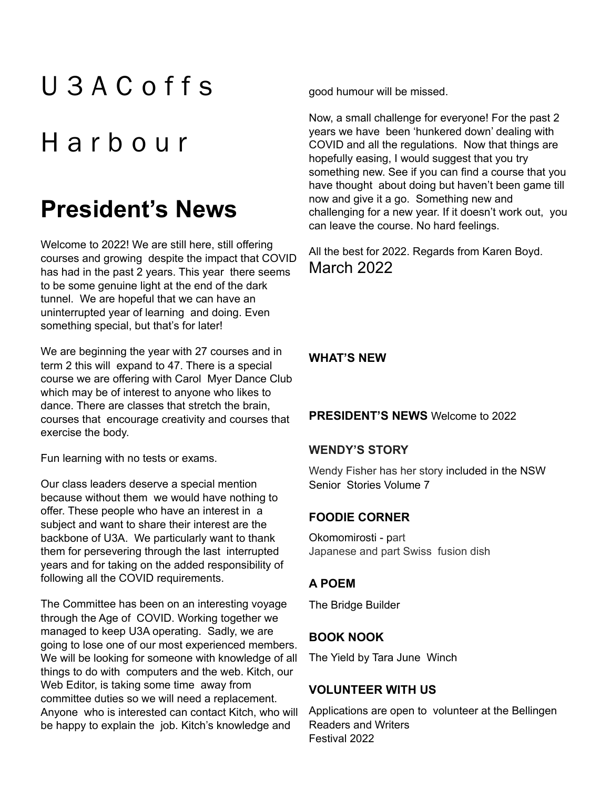# U 3 A C offs

# **Harbour**

## **President's News**

Welcome to 2022! We are still here, still offering courses and growing despite the impact that COVID has had in the past 2 years. This year there seems to be some genuine light at the end of the dark tunnel. We are hopeful that we can have an uninterrupted year of learning and doing. Even something special, but that's for later!

We are beginning the year with 27 courses and in term 2 this will expand to 47. There is a special course we are offering with Carol Myer Dance Club which may be of interest to anyone who likes to dance. There are classes that stretch the brain, courses that encourage creativity and courses that exercise the body.

Fun learning with no tests or exams.

Our class leaders deserve a special mention because without them we would have nothing to offer. These people who have an interest in a subject and want to share their interest are the backbone of U3A. We particularly want to thank them for persevering through the last interrupted years and for taking on the added responsibility of following all the COVID requirements.

The Committee has been on an interesting voyage through the Age of COVID. Working together we managed to keep U3A operating. Sadly, we are going to lose one of our most experienced members. We will be looking for someone with knowledge of all things to do with computers and the web. Kitch, our Web Editor, is taking some time away from committee duties so we will need a replacement. Anyone who is interested can contact Kitch, who will be happy to explain the job. Kitch's knowledge and

good humour will be missed.

Now, a small challenge for everyone! For the past 2 years we have been 'hunkered down' dealing with COVID and all the regulations. Now that things are hopefully easing, I would suggest that you try something new. See if you can find a course that you have thought about doing but haven't been game till now and give it a go. Something new and challenging for a new year. If it doesn't work out, you can leave the course. No hard feelings.

All the best for 2022. Regards from Karen Boyd. March 2022

**WHAT'S NEW**

### **PRESIDENT'S NEWS** Welcome to 2022

### **WENDY'S STORY**

Wendy Fisher has her story included in the NSW Senior Stories Volume 7

### **FOODIE CORNER**

Okomomirosti - part Japanese and part Swiss fusion dish

### **A POEM**

The Bridge Builder

### **BOOK NOOK**

The Yield by Tara June Winch

### **VOLUNTEER WITH US**

Applications are open to volunteer at the Bellingen Readers and Writers Festival 2022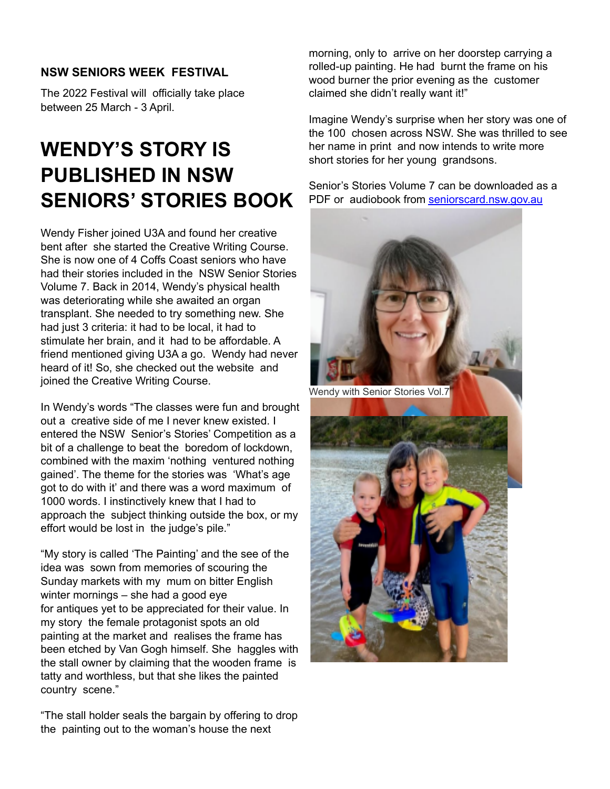### **NSW SENIORS WEEK FESTIVAL**

The 2022 Festival will officially take place between 25 March - 3 April.

### **WENDY'S STORY IS PUBLISHED IN NSW SENIORS' STORIES BOOK**

Wendy Fisher joined U3A and found her creative bent after she started the Creative Writing Course. She is now one of 4 Coffs Coast seniors who have had their stories included in the NSW Senior Stories Volume 7. Back in 2014, Wendy's physical health was deteriorating while she awaited an organ transplant. She needed to try something new. She had just 3 criteria: it had to be local, it had to stimulate her brain, and it had to be affordable. A friend mentioned giving U3A a go. Wendy had never heard of it! So, she checked out the website and joined the Creative Writing Course.

In Wendy's words "The classes were fun and brought out a creative side of me I never knew existed. I entered the NSW Senior's Stories' Competition as a bit of a challenge to beat the boredom of lockdown, combined with the maxim 'nothing ventured nothing gained'. The theme for the stories was 'What's age got to do with it' and there was a word maximum of 1000 words. I instinctively knew that I had to approach the subject thinking outside the box, or my effort would be lost in the judge's pile."

"My story is called 'The Painting' and the see of the idea was sown from memories of scouring the Sunday markets with my mum on bitter English winter mornings – she had a good eye for antiques yet to be appreciated for their value. In my story the female protagonist spots an old painting at the market and realises the frame has been etched by Van Gogh himself. She haggles with the stall owner by claiming that the wooden frame is tatty and worthless, but that she likes the painted country scene."

"The stall holder seals the bargain by offering to drop the painting out to the woman's house the next

morning, only to arrive on her doorstep carrying a rolled-up painting. He had burnt the frame on his wood burner the prior evening as the customer claimed she didn't really want it!"

Imagine Wendy's surprise when her story was one of the 100 chosen across NSW. She was thrilled to see her name in print and now intends to write more short stories for her young grandsons.

Senior's Stories Volume 7 can be downloaded as a PDF or audiobook from seniorscard.nsw.gov.au

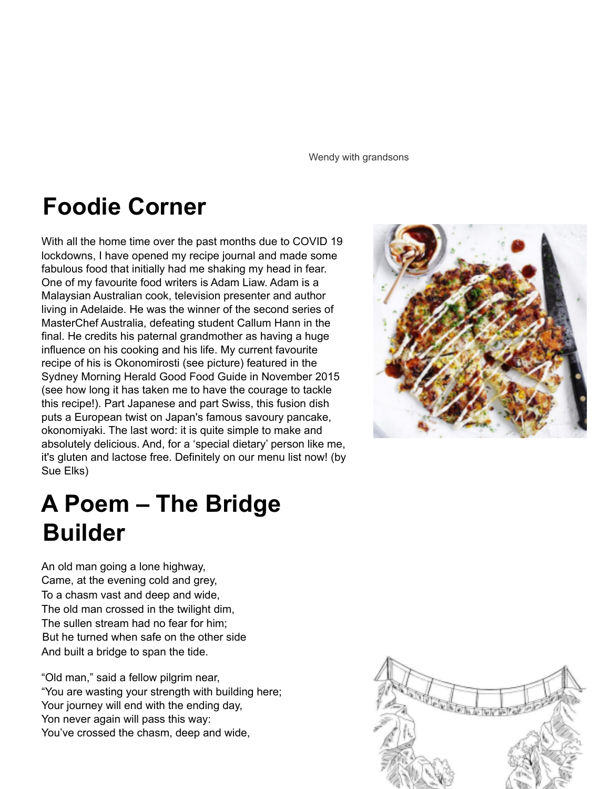Wendy with grandsons

## **Foodie Corner**

With all the home time over the past months due to COVID 19 lockdowns, I have opened my recipe journal and made some fabulous food that initially had me shaking my head in fear. One of my favourite food writers is Adam Liaw. Adam is a Malaysian Australian cook, television presenter and author living in Adelaide. He was the winner of the second series of MasterChef Australia, defeating student Callum Hann in the final. He credits his paternal grandmother as having a huge influence on his cooking and his life. My current favourite recipe of his is Okonomirosti (see picture) featured in the Sydney Morning Herald Good Food Guide in November 2015 (see how long it has taken me to have the courage to tackle this recipe!). Part Japanese and part Swiss, this fusion dish puts a European twist on Japan's famous savoury pancake, okonomiyaki. The last word: it is quite simple to make and absolutely delicious. And, for a 'special dietary' person like me, it's gluten and lactose free. Definitely on our menu list now! (by Sue Elks)

# **A Poem – The Bridge Builder**

An old man going a lone highway, Came, at the evening cold and grey, To a chasm vast and deep and wide, The old man crossed in the twilight dim, The sullen stream had no fear for him; But he turned when safe on the other side And built a bridge to span the tide.

"Old man," said a fellow pilgrim near, "You are wasting your strength with building here; Your journey will end with the ending day, Yon never again will pass this way: You've crossed the chasm, deep and wide,

![](_page_2_Picture_6.jpeg)

![](_page_2_Picture_7.jpeg)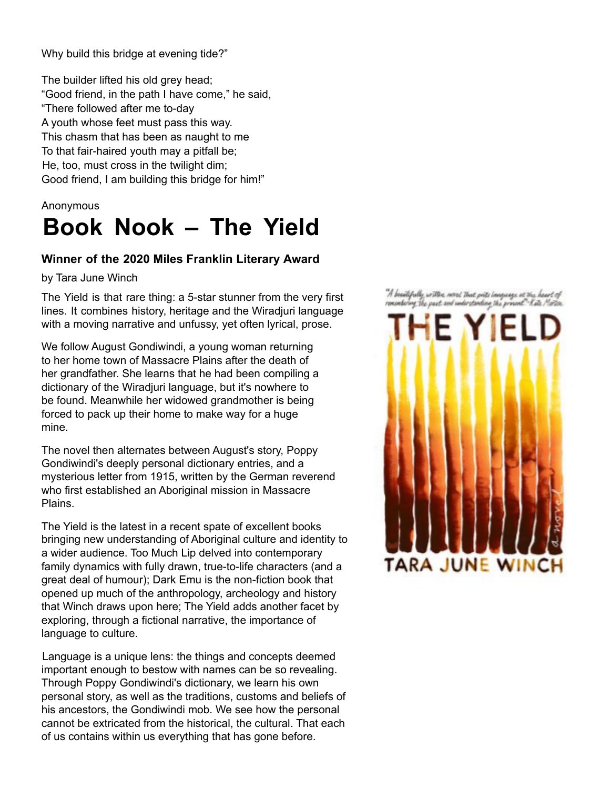Why build this bridge at evening tide?"

The builder lifted his old grey head; "Good friend, in the path I have come," he said, "There followed after me to-day A youth whose feet must pass this way. This chasm that has been as naught to me To that fair-haired youth may a pitfall be; He, too, must cross in the twilight dim; Good friend, I am building this bridge for him!"

#### Anonymous

# **Book Nook – The Yield**

### **Winner of the 2020 Miles Franklin Literary Award**

by Tara June Winch

The Yield is that rare thing: a 5-star stunner from the very first lines. It combines history, heritage and the Wiradjuri language with a moving narrative and unfussy, yet often lyrical, prose.

We follow August Gondiwindi, a young woman returning to her home town of Massacre Plains after the death of her grandfather. She learns that he had been compiling a dictionary of the Wiradjuri language, but it's nowhere to be found. Meanwhile her widowed grandmother is being forced to pack up their home to make way for a huge mine.

The novel then alternates between August's story, Poppy Gondiwindi's deeply personal dictionary entries, and a mysterious letter from 1915, written by the German reverend who first established an Aboriginal mission in Massacre Plains.

The Yield is the latest in a recent spate of excellent books bringing new understanding of Aboriginal culture and identity to a wider audience. Too Much Lip delved into contemporary family dynamics with fully drawn, true-to-life characters (and a great deal of humour); Dark Emu is the non-fiction book that opened up much of the anthropology, archeology and history that Winch draws upon here; The Yield adds another facet by exploring, through a fictional narrative, the importance of language to culture.

Language is a unique lens: the things and concepts deemed important enough to bestow with names can be so revealing. Through Poppy Gondiwindi's dictionary, we learn his own personal story, as well as the traditions, customs and beliefs of his ancestors, the Gondiwindi mob. We see how the personal cannot be extricated from the historical, the cultural. That each of us contains within us everything that has gone before.

"A beautifully with a nord that poits language at the heart of ronsenburng the past and understanding the present"-Kate Morten

![](_page_3_Picture_12.jpeg)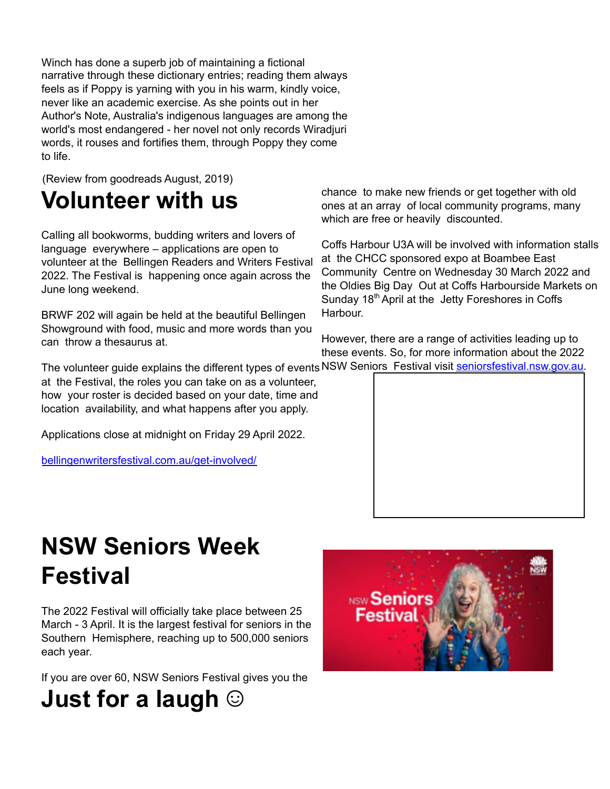Winch has done a superb job of maintaining a fictional narrative through these dictionary entries; reading them always feels as if Poppy is yarning with you in his warm, kindly voice, never like an academic exercise. As she points out in her Author's Note, Australia's indigenous languages are among the world's most endangered - her novel not only records Wiradjuri words, it rouses and fortifies them, through Poppy they come to life.

(Review from goodreads August, 2019)

## **Volunteer with us**

Calling all bookworms, budding writers and lovers of language everywhere – applications are open to volunteer at the Bellingen Readers and Writers Festival 2022. The Festival is happening once again across the June long weekend.

BRWF 202 will again be held at the beautiful Bellingen Showground with food, music and more words than you can throw a thesaurus at.

The volunteer guide explains the different types of events NSW Seniors Festival visit seniorsfestival.nsw.gov.au. at the Festival, the roles you can take on as a volunteer, how your roster is decided based on your date, time and location availability, and what happens after you apply.

Applications close at midnight on Friday 29 April 2022.

bellingenwritersfestival.com.au/get-involved/

chance to make new friends or get together with old ones at an array of local community programs, many which are free or heavily discounted.

Coffs Harbour U3A will be involved with information stalls at the CHCC sponsored expo at Boambee East Community Centre on Wednesday 30 March 2022 and the Oldies Big Day Out at Coffs Harbourside Markets on Sunday 18<sup>th</sup> April at the Jetty Foreshores in Coffs Harbour.

However, there are a range of activities leading up to these events. So, for more information about the 2022

![](_page_4_Picture_11.jpeg)

## **NSW Seniors Week Festival**

The 2022 Festival will officially take place between 25 March - 3 April. It is the largest festival for seniors in the Southern Hemisphere, reaching up to 500,000 seniors each year.

If you are over 60, NSW Seniors Festival gives you the

![](_page_4_Picture_15.jpeg)

![](_page_4_Picture_16.jpeg)